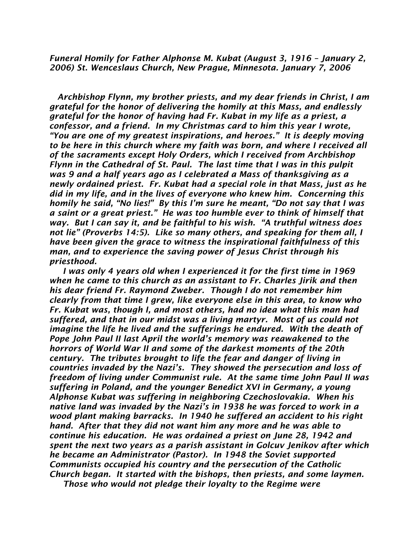*Funeral Homily for Father Alphonse M. Kubat (August 3, 1916 – January 2, 2006) St. Wenceslaus Church, New Prague, Minnesota. January 7, 2006*

 *Archbishop Flynn, my brother priests, and my dear friends in Christ, I am grateful for the honor of delivering the homily at this Mass, and endlessly grateful for the honor of having had Fr. Kubat in my life as a priest, a confessor, and a friend. In my Christmas card to him this year I wrote, "You are one of my greatest inspirations, and heroes." It is deeply moving to be here in this church where my faith was born, and where I received all of the sacraments except Holy Orders, which I received from Archbishop Flynn in the Cathedral of St. Paul. The last time that I was in this pulpit was 9 and a half years ago as I celebrated a Mass of thanksgiving as a newly ordained priest. Fr. Kubat had a special role in that Mass, just as he did in my life, and in the lives of everyone who knew him. Concerning this homily he said, "No lies!" By this I'm sure he meant, "Do not say that I was a saint or a great priest." He was too humble ever to think of himself that way. But I can say it, and be faithful to his wish. "A truthful witness does not lie" (Proverbs 14:5). Like so many others, and speaking for them all, I have been given the grace to witness the inspirational faithfulness of this man, and to experience the saving power of Jesus Christ through his priesthood.*

 *I was only 4 years old when I experienced it for the first time in 1969 when he came to this church as an assistant to Fr. Charles Jirik and then his dear friend Fr. Raymond Zweber. Though I do not remember him clearly from that time I grew, like everyone else in this area, to know who Fr. Kubat was, though I, and most others, had no idea what this man had suffered, and that in our midst was a living martyr. Most of us could not*  imagine the life he lived and the sufferings he endured. With the death of *Pope John Paul II last April the world's memory was reawakened to the horrors of World War II and some of the darkest moments of the 20th century. The tributes brought to life the fear and danger of living in countries invaded by the Nazi's. They showed the persecution and loss of freedom of living under Communist rule. At the same time John Paul II was suffering in Poland, and the younger Benedict XVI in Germany, a young Alphonse Kubat was suffering in neighboring Czechoslovakia. When his native land was invaded by the Nazi's in 1938 he was forced to work in a wood plant making barracks. In 1940 he suffered an accident to his right hand. After that they did not want him any more and he was able to continue his education. He was ordained a priest on June 28, 1942 and spent the next two years as a parish assistant in Golcuv Jenikov after which he became an Administrator (Pastor). In 1948 the Soviet supported Communists occupied his country and the persecution of the Catholic Church began. It started with the bishops, then priests, and some laymen. Those who would not pledge their loyalty to the Regime were*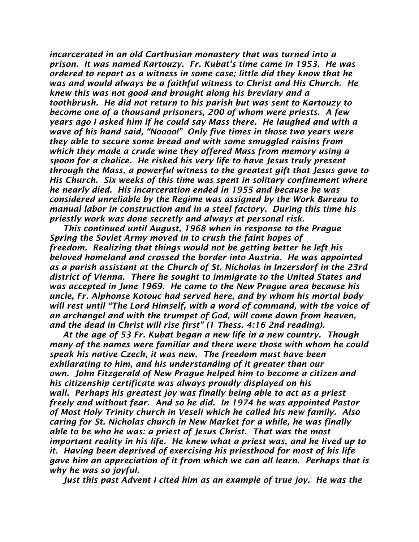*incarcerated in an old Carthusian monastery that was turned into a prison. It was named Kartouzy. Fr. Kubat's time came in 1953. He was ordered to report as a witness in some case; little did they know that he was and would always be a faithful witness to Christ and His Church. He knew this was not good and brought along his breviary and a toothbrush. He did not return to his parish but was sent to Kartouzy to become one of a thousand prisoners, 200 of whom were priests. A few years ago I asked him if he could say Mass there. He laughed and with a wave of his hand said, "Noooo!" Only five times in those two years were they able to secure some bread and with some smuggled raisins from which they made a crude wine they offered Mass from memory using a spoon for a chalice. He risked his very life to have Jesus truly present through the Mass, a powerful witness to the greatest gift that Jesus gave to His Church. Six weeks of this time was spent in solitary confinement where he nearly died. His incarceration ended in 1955 and because he was considered unreliable by the Regime was assigned by the Work Bureau to manual labor in construction and in a steel factory. During this time his priestly work was done secretly and always at personal risk.* 

 *This continued until August, 1968 when in response to the Prague Spring the Soviet Army moved in to crush the faint hopes of freedom. Realizing that things would not be getting better he left his beloved homeland and crossed the border into Austria. He was appointed as a parish assistant at the Church of St. Nicholas in Inzersdorf in the 23rd district of Vienna. There he sought to immigrate to the United States and was accepted in June 1969. He came to the New Prague area because his uncle, Fr. Alphonse Kotouc had served here, and by whom his mortal body will rest until "The Lord Himself, with a word of command, with the voice of an archangel and with the trumpet of God, will come down from heaven, and the dead in Christ will rise first" (1 Thess. 4:16 2nd reading).*

 *At the age of 53 Fr. Kubat began a new life in a new country. Though many of the names were familiar and there were those with whom he could speak his native Czech, it was new. The freedom must have been exhilarating to him, and his understanding of it greater than our own. John Fitzgerald of New Prague helped him to become a citizen and his citizenship certificate was always proudly displayed on his wall. Perhaps his greatest joy was finally being able to act as a priest freely and without fear. And so he did. In 1974 he was appointed Pastor of Most Holy Trinity church in Veseli which he called his new family. Also caring for St. Nicholas church in New Market for a while, he was finally able to be who he was: a priest of Jesus Christ. That was the most important reality in his life. He knew what a priest was, and he lived up to it. Having been deprived of exercising his priesthood for most of his life gave him an appreciation of it from which we can all learn. Perhaps that is why he was so joyful.* 

 *Just this past Advent I cited him as an example of true joy. He was the*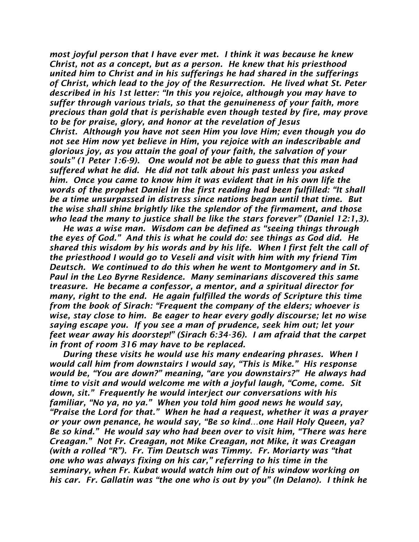*most joyful person that I have ever met. I think it was because he knew Christ, not as a concept, but as a person. He knew that his priesthood united him to Christ and in his sufferings he had shared in the sufferings of Christ, which lead to the joy of the Resurrection. He lived what St. Peter described in his 1st letter: "In this you rejoice, although you may have to suffer through various trials, so that the genuineness of your faith, more precious than gold that is perishable even though tested by fire, may prove to be for praise, glory, and honor at the revelation of Jesus Christ. Although you have not seen Him you love Him; even though you do not see Him now yet believe in Him, you rejoice with an indescribable and glorious joy, as you attain the goal of your faith, the salvation of your souls" (1 Peter 1:6-9). One would not be able to guess that this man had suffered what he did. He did not talk about his past unless you asked him. Once you came to know him it was evident that in his own life the words of the prophet Daniel in the first reading had been fulfilled: "It shall be a time unsurpassed in distress since nations began until that time. But the wise shall shine brightly like the splendor of the firmament, and those who lead the many to justice shall be like the stars forever" (Daniel 12:1,3).* 

 *He was a wise man. Wisdom can be defined as "seeing things through the eyes of God." And this is what he could do: see things as God did. He shared this wisdom by his words and by his life. When I first felt the call of the priesthood I would go to Veseli and visit with him with my friend Tim Deutsch. We continued to do this when he went to Montgomery and in St. Paul in the Leo Byrne Residence. Many seminarians discovered this same treasure. He became a confessor, a mentor, and a spiritual director for many, right to the end. He again fulfilled the words of Scripture this time from the book of Sirach: "Frequent the company of the elders; whoever is wise, stay close to him. Be eager to hear every godly discourse; let no wise saying escape you. If you see a man of prudence, seek him out; let your feet wear away his doorstep!" (Sirach 6:34-36). I am afraid that the carpet in front of room 316 may have to be replaced.* 

 *During these visits he would use his many endearing phrases. When I would call him from downstairs I would say, "This is Mike." His response would be, "You are down?" meaning, "are you downstairs?" He always had time to visit and would welcome me with a joyful laugh, "Come, come. Sit down, sit." Frequently he would interject our conversations with his familiar, "No ya, no ya." When you told him good news he would say, "Praise the Lord for that." When he had a request, whether it was a prayer or your own penance, he would say, "Be so kind…one Hail Holy Queen, ya? Be so kind." He would say who had been over to visit him, "There was here Creagan." Not Fr. Creagan, not Mike Creagan, not Mike, it was Creagan (with a rolled "R"). Fr. Tim Deutsch was Timmy. Fr. Moriarty was "that one who was always fixing on his car," referring to his time in the seminary, when Fr. Kubat would watch him out of his window working on his car. Fr. Gallatin was "the one who is out by you" (In Delano). I think he*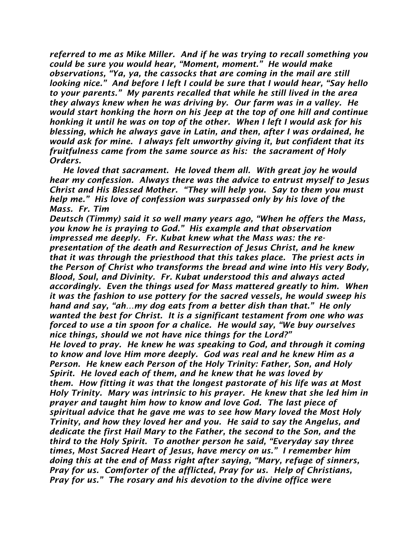*referred to me as Mike Miller. And if he was trying to recall something you could be sure you would hear, "Moment, moment." He would make observations, "Ya, ya, the cassocks that are coming in the mail are still looking nice." And before I left I could be sure that I would hear, "Say hello to your parents." My parents recalled that while he still lived in the area they always knew when he was driving by. Our farm was in a valley. He would start honking the horn on his Jeep at the top of one hill and continue honking it until he was on top of the other. When I left I would ask for his blessing, which he always gave in Latin, and then, after I was ordained, he would ask for mine. I always felt unworthy giving it, but confident that its fruitfulness came from the same source as his: the sacrament of Holy Orders.*

 *He loved that sacrament. He loved them all. With great joy he would hear my confession. Always there was the advice to entrust myself to Jesus Christ and His Blessed Mother. "They will help you. Say to them you must help me." His love of confession was surpassed only by his love of the Mass. Fr. Tim* 

*Deutsch (Timmy) said it so well many years ago, "When he offers the Mass, you know he is praying to God." His example and that observation impressed me deeply. Fr. Kubat knew what the Mass was: the representation of the death and Resurrection of Jesus Christ, and he knew that it was through the priesthood that this takes place. The priest acts in the Person of Christ who transforms the bread and wine into His very Body, Blood, Soul, and Divinity. Fr. Kubat understood this and always acted accordingly. Even the things used for Mass mattered greatly to him. When it was the fashion to use pottery for the sacred vessels, he would sweep his hand and say, "ah…my dog eats from a better dish than that." He only wanted the best for Christ. It is a significant testament from one who was forced to use a tin spoon for a chalice. He would say, "We buy ourselves nice things, should we not have nice things for the Lord?" He loved to pray. He knew he was speaking to God, and through it coming to know and love Him more deeply. God was real and he knew Him as a Person. He knew each Person of the Holy Trinity: Father, Son, and Holy Spirit. He loved each of them, and he knew that he was loved by them. How fitting it was that the longest pastorate of his life was at Most Holy Trinity. Mary was intrinsic to his prayer. He knew that she led him in prayer and taught him how to know and love God. The last piece of spiritual advice that he gave me was to see how Mary loved the Most Holy Trinity, and how they loved her and you. He said to say the Angelus, and dedicate the first Hail Mary to the Father, the second to the Son, and the third to the Holy Spirit. To another person he said, "Everyday say three times, Most Sacred Heart of Jesus, have mercy on us." I remember him doing this at the end of Mass right after saying, "Mary, refuge of sinners, Pray for us. Comforter of the afflicted, Pray for us. Help of Christians, Pray for us." The rosary and his devotion to the divine office were*